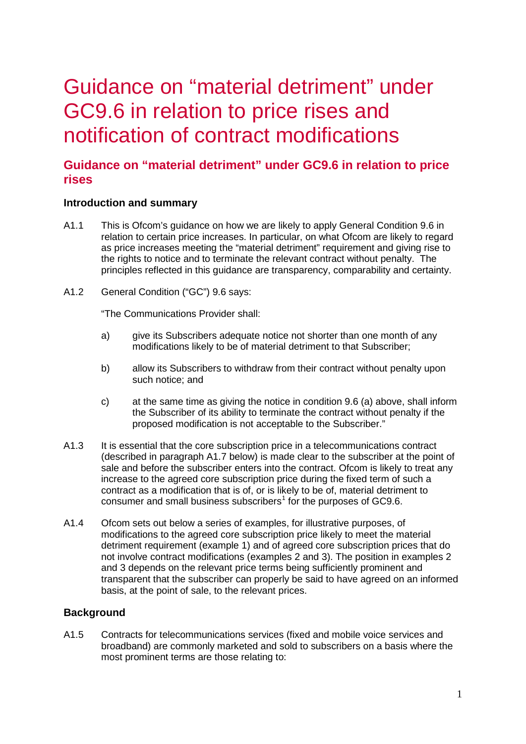# Guidance on "material detriment" under GC9.6 in relation to price rises and notification of contract modifications

# **Guidance on "material detriment" under GC9.6 in relation to price rises**

## **Introduction and summary**

- A1.1 This is Ofcom's guidance on how we are likely to apply General Condition 9.6 in relation to certain price increases. In particular, on what Ofcom are likely to regard as price increases meeting the "material detriment" requirement and giving rise to the rights to notice and to terminate the relevant contract without penalty. The principles reflected in this guidance are transparency, comparability and certainty.
- A1.2 General Condition ("GC") 9.6 says:

"The Communications Provider shall:

- a) give its Subscribers adequate notice not shorter than one month of any modifications likely to be of material detriment to that Subscriber;
- b) allow its Subscribers to withdraw from their contract without penalty upon such notice; and
- c) at the same time as giving the notice in condition 9.6 (a) above, shall inform the Subscriber of its ability to terminate the contract without penalty if the proposed modification is not acceptable to the Subscriber."
- A1.3 It is essential that the core subscription price in a telecommunications contract (described in paragraph A1.7 below) is made clear to the subscriber at the point of sale and before the subscriber enters into the contract. Ofcom is likely to treat any increase to the agreed core subscription price during the fixed term of such a contract as a modification that is of, or is likely to be of, material detriment to consumer and small business subscribers<sup>[1](#page-5-0)</sup> for the purposes of GC9.6.
- A1.4 Ofcom sets out below a series of examples, for illustrative purposes, of modifications to the agreed core subscription price likely to meet the material detriment requirement (example 1) and of agreed core subscription prices that do not involve contract modifications (examples 2 and 3). The position in examples 2 and 3 depends on the relevant price terms being sufficiently prominent and transparent that the subscriber can properly be said to have agreed on an informed basis, at the point of sale, to the relevant prices.

## **Background**

<span id="page-0-0"></span>A1.5 Contracts for telecommunications services (fixed and mobile voice services and broadband) are commonly marketed and sold to subscribers on a basis where the most prominent terms are those relating to: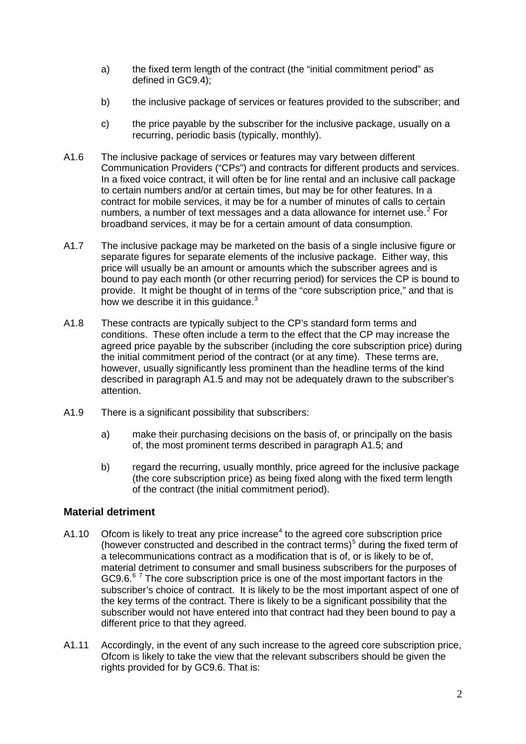- a) the fixed term length of the contract (the "initial commitment period" as defined in GC9.4);
- b) the inclusive package of services or features provided to the subscriber; and
- c) the price payable by the subscriber for the inclusive package, usually on a recurring, periodic basis (typically, monthly).
- A1.6 The inclusive package of services or features may vary between different Communication Providers ("CPs") and contracts for different products and services. In a fixed voice contract, it will often be for line rental and an inclusive call package to certain numbers and/or at certain times, but may be for other features. In a contract for mobile services, it may be for a number of minutes of calls to certain numbers, a number of text messages and a data allowance for internet use. $2$  For broadband services, it may be for a certain amount of data consumption.
- A1.7 The inclusive package may be marketed on the basis of a single inclusive figure or separate figures for separate elements of the inclusive package. Either way, this price will usually be an amount or amounts which the subscriber agrees and is bound to pay each month (or other recurring period) for services the CP is bound to provide. It might be thought of in terms of the "core subscription price," and that is how we describe it in this guidance.<sup>[3](#page-6-1)</sup>
- A1.8 These contracts are typically subject to the CP's standard form terms and conditions. These often include a term to the effect that the CP may increase the agreed price payable by the subscriber (including the core subscription price) during the initial commitment period of the contract (or at any time). These terms are, however, usually significantly less prominent than the headline terms of the kind described in paragraph [A1.5](#page-0-0) and may not be adequately drawn to the subscriber's attention.
- A1.9 There is a significant possibility that subscribers:
	- a) make their purchasing decisions on the basis of, or principally on the basis of, the most prominent terms described in paragraph [A1.5;](#page-0-0) and
	- b) regard the recurring, usually monthly, price agreed for the inclusive package (the core subscription price) as being fixed along with the fixed term length of the contract (the initial commitment period).

## **Material detriment**

- A1.10 Ofcom is likely to treat any price increase<sup>[4](#page-6-2)</sup> to the agreed core subscription price (however constructed and described in the contract terms) $<sup>5</sup>$  $<sup>5</sup>$  $<sup>5</sup>$  during the fixed term of</sup> a telecommunications contract as a modification that is of, or is likely to be of, material detriment to consumer and small business subscribers for the purposes of GC9.[6](#page-6-4). $67$  $67$  The core subscription price is one of the most important factors in the subscriber's choice of contract. It is likely to be the most important aspect of one of the key terms of the contract. There is likely to be a significant possibility that the subscriber would not have entered into that contract had they been bound to pay a different price to that they agreed.
- A1.11 Accordingly, in the event of any such increase to the agreed core subscription price, Ofcom is likely to take the view that the relevant subscribers should be given the rights provided for by GC9.6. That is: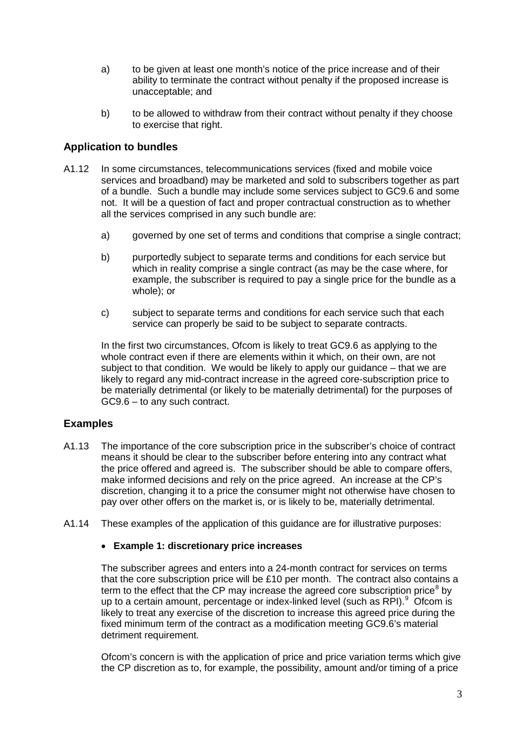- a) to be given at least one month's notice of the price increase and of their ability to terminate the contract without penalty if the proposed increase is unacceptable; and
- b) to be allowed to withdraw from their contract without penalty if they choose to exercise that right.

## **Application to bundles**

- A1.12 In some circumstances, telecommunications services (fixed and mobile voice services and broadband) may be marketed and sold to subscribers together as part of a bundle. Such a bundle may include some services subject to GC9.6 and some not. It will be a question of fact and proper contractual construction as to whether all the services comprised in any such bundle are:
	- a) governed by one set of terms and conditions that comprise a single contract;
	- b) purportedly subject to separate terms and conditions for each service but which in reality comprise a single contract (as may be the case where, for example, the subscriber is required to pay a single price for the bundle as a whole); or
	- c) subject to separate terms and conditions for each service such that each service can properly be said to be subject to separate contracts.

In the first two circumstances, Ofcom is likely to treat GC9.6 as applying to the whole contract even if there are elements within it which, on their own, are not subject to that condition. We would be likely to apply our guidance – that we are likely to regard any mid-contract increase in the agreed core-subscription price to be materially detrimental (or likely to be materially detrimental) for the purposes of GC9.6 – to any such contract.

## **Examples**

- A1.13 The importance of the core subscription price in the subscriber's choice of contract means it should be clear to the subscriber before entering into any contract what the price offered and agreed is. The subscriber should be able to compare offers, make informed decisions and rely on the price agreed. An increase at the CP's discretion, changing it to a price the consumer might not otherwise have chosen to pay over other offers on the market is, or is likely to be, materially detrimental.
- A1.14 These examples of the application of this guidance are for illustrative purposes:

#### • **Example 1: discretionary price increases**

The subscriber agrees and enters into a 24-month contract for services on terms that the core subscription price will be £10 per month. The contract also contains a term to the effect that the CP may increase the agreed core subscription price<sup>[8](#page-6-6)</sup> by up to a certain amount, percentage or index-linked level (such as RPI).<sup>[9](#page-6-7)</sup> Ofcom is likely to treat any exercise of the discretion to increase this agreed price during the fixed minimum term of the contract as a modification meeting GC9.6's material detriment requirement.

Ofcom's concern is with the application of price and price variation terms which give the CP discretion as to, for example, the possibility, amount and/or timing of a price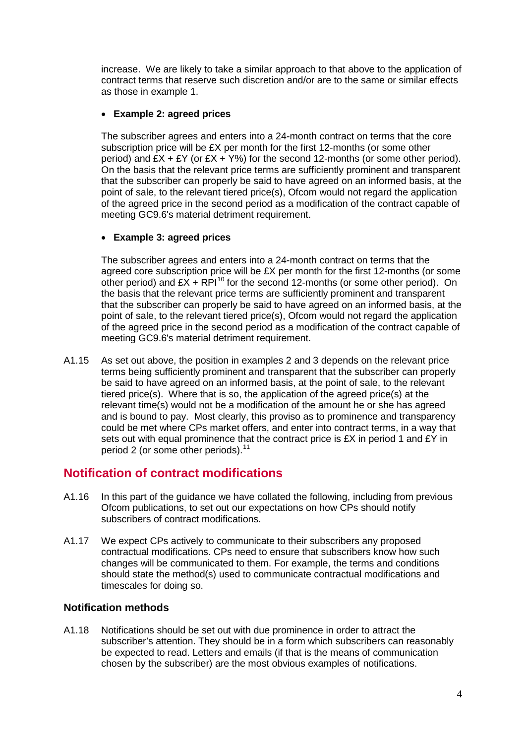increase. We are likely to take a similar approach to that above to the application of contract terms that reserve such discretion and/or are to the same or similar effects as those in example 1.

## • **Example 2: agreed prices**

The subscriber agrees and enters into a 24-month contract on terms that the core subscription price will be £X per month for the first 12-months (or some other period) and  $EX + EY$  (or  $EX + Y\%$ ) for the second 12-months (or some other period). On the basis that the relevant price terms are sufficiently prominent and transparent that the subscriber can properly be said to have agreed on an informed basis, at the point of sale, to the relevant tiered price(s), Ofcom would not regard the application of the agreed price in the second period as a modification of the contract capable of meeting GC9.6's material detriment requirement.

## • **Example 3: agreed prices**

The subscriber agrees and enters into a 24-month contract on terms that the agreed core subscription price will be £X per month for the first 12-months (or some other period) and  $EX + RP1^{10}$  $EX + RP1^{10}$  $EX + RP1^{10}$  for the second 12-months (or some other period). On the basis that the relevant price terms are sufficiently prominent and transparent that the subscriber can properly be said to have agreed on an informed basis, at the point of sale, to the relevant tiered price(s), Ofcom would not regard the application of the agreed price in the second period as a modification of the contract capable of meeting GC9.6's material detriment requirement.

A1.15 As set out above, the position in examples 2 and 3 depends on the relevant price terms being sufficiently prominent and transparent that the subscriber can properly be said to have agreed on an informed basis, at the point of sale, to the relevant tiered price(s). Where that is so, the application of the agreed price(s) at the relevant time(s) would not be a modification of the amount he or she has agreed and is bound to pay. Most clearly, this proviso as to prominence and transparency could be met where CPs market offers, and enter into contract terms, in a way that sets out with equal prominence that the contract price is  $EX$  in period 1 and  $EY$  in period 2 (or some other periods). $11$ 

## **Notification of contract modifications**

- A1.16 In this part of the guidance we have collated the following, including from previous Ofcom publications, to set out our expectations on how CPs should notify subscribers of contract modifications.
- A1.17 We expect CPs actively to communicate to their subscribers any proposed contractual modifications. CPs need to ensure that subscribers know how such changes will be communicated to them. For example, the terms and conditions should state the method(s) used to communicate contractual modifications and timescales for doing so.

## **Notification methods**

A1.18 Notifications should be set out with due prominence in order to attract the subscriber's attention. They should be in a form which subscribers can reasonably be expected to read. Letters and emails (if that is the means of communication chosen by the subscriber) are the most obvious examples of notifications.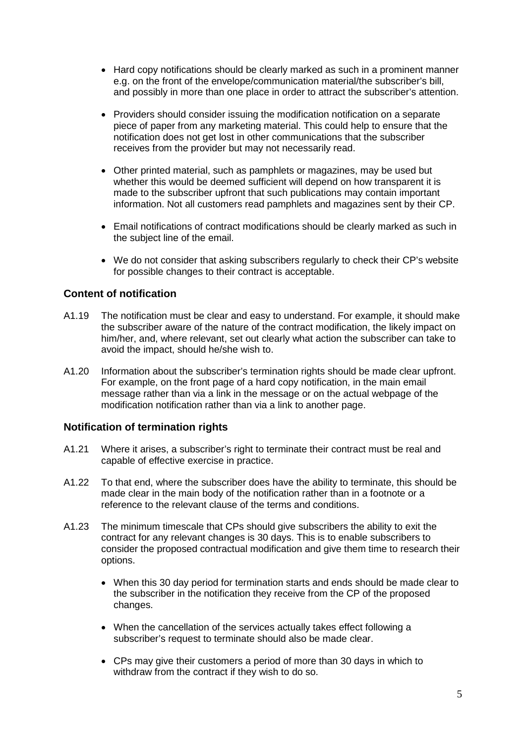- Hard copy notifications should be clearly marked as such in a prominent manner e.g. on the front of the envelope/communication material/the subscriber's bill, and possibly in more than one place in order to attract the subscriber's attention.
- Providers should consider issuing the modification notification on a separate piece of paper from any marketing material. This could help to ensure that the notification does not get lost in other communications that the subscriber receives from the provider but may not necessarily read.
- Other printed material, such as pamphlets or magazines, may be used but whether this would be deemed sufficient will depend on how transparent it is made to the subscriber upfront that such publications may contain important information. Not all customers read pamphlets and magazines sent by their CP.
- Email notifications of contract modifications should be clearly marked as such in the subject line of the email.
- We do not consider that asking subscribers regularly to check their CP's website for possible changes to their contract is acceptable.

### **Content of notification**

- A1.19 The notification must be clear and easy to understand. For example, it should make the subscriber aware of the nature of the contract modification, the likely impact on him/her, and, where relevant, set out clearly what action the subscriber can take to avoid the impact, should he/she wish to.
- A1.20 Information about the subscriber's termination rights should be made clear upfront. For example, on the front page of a hard copy notification, in the main email message rather than via a link in the message or on the actual webpage of the modification notification rather than via a link to another page.

#### **Notification of termination rights**

- A1.21 Where it arises, a subscriber's right to terminate their contract must be real and capable of effective exercise in practice.
- A1.22 To that end, where the subscriber does have the ability to terminate, this should be made clear in the main body of the notification rather than in a footnote or a reference to the relevant clause of the terms and conditions.
- A1.23 The minimum timescale that CPs should give subscribers the ability to exit the contract for any relevant changes is 30 days. This is to enable subscribers to consider the proposed contractual modification and give them time to research their options.
	- When this 30 day period for termination starts and ends should be made clear to the subscriber in the notification they receive from the CP of the proposed changes.
	- When the cancellation of the services actually takes effect following a subscriber's request to terminate should also be made clear.
	- CPs may give their customers a period of more than 30 days in which to withdraw from the contract if they wish to do so.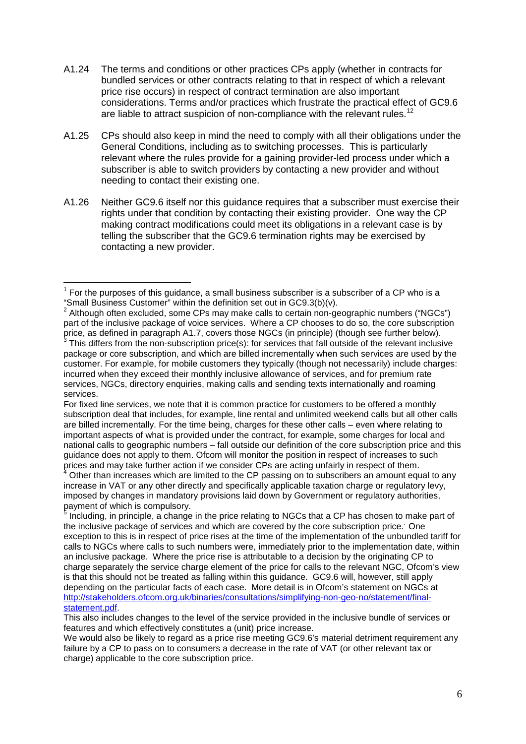- A1.24 The terms and conditions or other practices CPs apply (whether in contracts for bundled services or other contracts relating to that in respect of which a relevant price rise occurs) in respect of contract termination are also important considerations. Terms and/or practices which frustrate the practical effect of GC9.6 are liable to attract suspicion of non-compliance with the relevant rules.<sup>[12](#page-6-10)</sup>
- A1.25 CPs should also keep in mind the need to comply with all their obligations under the General Conditions, including as to switching processes. This is particularly relevant where the rules provide for a gaining provider-led process under which a subscriber is able to switch providers by contacting a new provider and without needing to contact their existing one.
- A1.26 Neither GC9.6 itself nor this guidance requires that a subscriber must exercise their rights under that condition by contacting their existing provider. One way the CP making contract modifications could meet its obligations in a relevant case is by telling the subscriber that the GC9.6 termination rights may be exercised by contacting a new provider.

<span id="page-5-0"></span> $<sup>1</sup>$  For the purposes of this quidance, a small business subscriber is a subscriber of a CP who is a</sup> "Small Business Customer" within the definition set out in GC9.3(b)(v).

 $2$  Although often excluded, some CPs may make calls to certain non-geographic numbers ("NGCs") part of the inclusive package of voice services. Where a CP chooses to do so, the core subscription price, as defined in paragraph A1.7, covers those NGCs (in principle) (though see further below).<br><sup>3</sup> This differs from the non-subscription price(s): for services that fall outside of the relevant inclusive

package or core subscription, and which are billed incrementally when such services are used by the customer. For example, for mobile customers they typically (though not necessarily) include charges: incurred when they exceed their monthly inclusive allowance of services, and for premium rate services, NGCs, directory enquiries, making calls and sending texts internationally and roaming services.

For fixed line services, we note that it is common practice for customers to be offered a monthly subscription deal that includes, for example, line rental and unlimited weekend calls but all other calls are billed incrementally. For the time being, charges for these other calls – even where relating to important aspects of what is provided under the contract, for example, some charges for local and national calls to geographic numbers – fall outside our definition of the core subscription price and this guidance does not apply to them. Ofcom will monitor the position in respect of increases to such prices and may take further action if we consider CPs are acting unfairly in respect of them.

<sup>4</sup> Other than increases which are limited to the CP passing on to subscribers an amount equal to any increase in VAT or any other directly and specifically applicable taxation charge or regulatory levy, imposed by changes in mandatory provisions laid down by Government or regulatory authorities, payment of which is compulsory.

Including, in principle, a change in the price relating to NGCs that a CP has chosen to make part of the inclusive package of services and which are covered by the core subscription price.. One exception to this is in respect of price rises at the time of the implementation of the unbundled tariff for calls to NGCs where calls to such numbers were, immediately prior to the implementation date, within an inclusive package. Where the price rise is attributable to a decision by the originating CP to charge separately the service charge element of the price for calls to the relevant NGC, Ofcom's view is that this should not be treated as falling within this guidance. GC9.6 will, however, still apply depending on the particular facts of each case. More detail is in Ofcom's statement on NGCs at [http://stakeholders.ofcom.org.uk/binaries/consultations/simplifying-non-geo-no/statement/final](http://stakeholders.ofcom.org.uk/binaries/consultations/simplifying-non-geo-no/statement/final-statement.pdf)[statement.pdf.](http://stakeholders.ofcom.org.uk/binaries/consultations/simplifying-non-geo-no/statement/final-statement.pdf)

This also includes changes to the level of the service provided in the inclusive bundle of services or features and which effectively constitutes a (unit) price increase.

We would also be likely to regard as a price rise meeting GC9.6's material detriment requirement any failure by a CP to pass on to consumers a decrease in the rate of VAT (or other relevant tax or charge) applicable to the core subscription price.